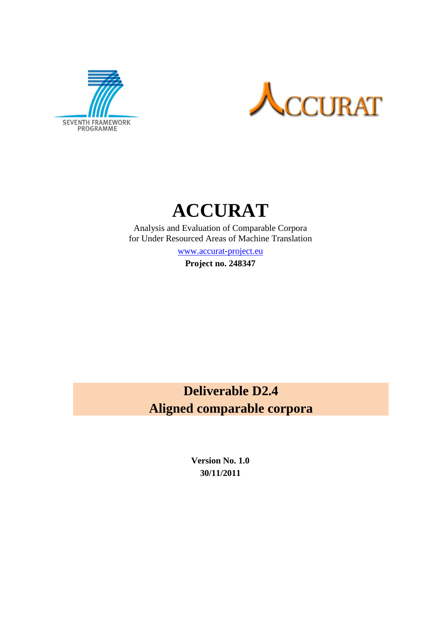



# **ACCURAT**

Analysis and Evaluation of Comparable Corpora for Under Resourced Areas of Machine Translation

[www.accurat-project.eu](http://www.accurat-project.eu/)

**Project no. 248347**

## **Deliverable D2.4 Aligned comparable corpora**

**Version No. 1.0 30/11/2011**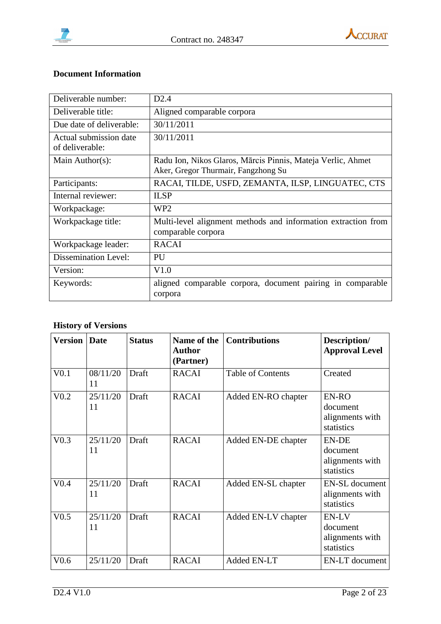



#### **Document Information**

| Deliverable number:                       | D2.4                                                                                               |
|-------------------------------------------|----------------------------------------------------------------------------------------------------|
| Deliverable title:                        | Aligned comparable corpora                                                                         |
| Due date of deliverable:                  | 30/11/2011                                                                                         |
| Actual submission date<br>of deliverable: | 30/11/2011                                                                                         |
| Main Author(s):                           | Radu Ion, Nikos Glaros, Mārcis Pinnis, Mateja Verlic, Ahmet<br>Aker, Gregor Thurmair, Fangzhong Su |
| Participants:                             | RACAI, TILDE, USFD, ZEMANTA, ILSP, LINGUATEC, CTS                                                  |
| Internal reviewer:                        | <b>ILSP</b>                                                                                        |
| Workpackage:                              | WP <sub>2</sub>                                                                                    |
| Workpackage title:                        | Multi-level alignment methods and information extraction from<br>comparable corpora                |
| Workpackage leader:                       | <b>RACAI</b>                                                                                       |
| <b>Dissemination Level:</b>               | PU                                                                                                 |
| Version:                                  | V1.0                                                                                               |
| Keywords:                                 | aligned comparable corpora, document pairing in comparable<br>corpora                              |

## **History of Versions**

| <b>Version</b>   | Date           | <b>Status</b> | Name of the<br><b>Author</b><br>(Partner) | <b>Contributions</b>     | Description/<br><b>Approval Level</b>                     |
|------------------|----------------|---------------|-------------------------------------------|--------------------------|-----------------------------------------------------------|
| V <sub>0.1</sub> | 08/11/20<br>11 | Draft         | <b>RACAI</b>                              | <b>Table of Contents</b> | Created                                                   |
| V <sub>0.2</sub> | 25/11/20<br>11 | Draft         | <b>RACAI</b>                              | Added EN-RO chapter      | EN-RO<br>document<br>alignments with<br>statistics        |
| V <sub>0.3</sub> | 25/11/20<br>11 | Draft         | <b>RACAI</b>                              | Added EN-DE chapter      | <b>EN-DE</b><br>document<br>alignments with<br>statistics |
| V <sub>0.4</sub> | 25/11/20<br>11 | Draft         | <b>RACAI</b>                              | Added EN-SL chapter      | <b>EN-SL</b> document<br>alignments with<br>statistics    |
| V <sub>0.5</sub> | 25/11/20<br>11 | Draft         | <b>RACAI</b>                              | Added EN-LV chapter      | EN-LV<br>document<br>alignments with<br>statistics        |
| V0.6             | 25/11/20       | Draft         | <b>RACAI</b>                              | Added EN-LT              | EN-LT document                                            |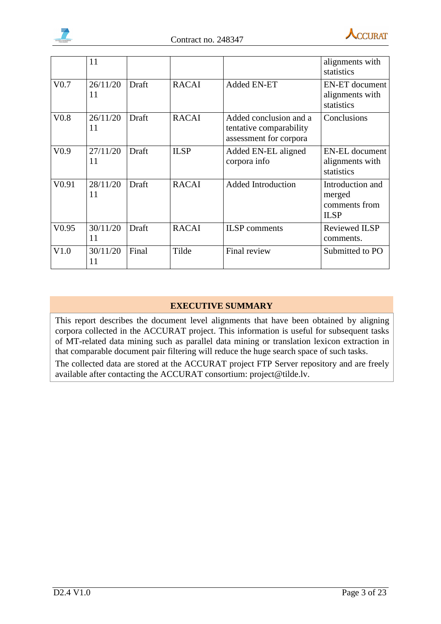



|                   | 11             |       |              |                                                                             | alignments with<br>statistics                              |
|-------------------|----------------|-------|--------------|-----------------------------------------------------------------------------|------------------------------------------------------------|
| V <sub>0.7</sub>  | 26/11/20<br>11 | Draft | <b>RACAI</b> | <b>Added EN-ET</b>                                                          | <b>EN-ET</b> document<br>alignments with<br>statistics     |
| V <sub>0.8</sub>  | 26/11/20<br>11 | Draft | <b>RACAI</b> | Added conclusion and a<br>tentative comparability<br>assessment for corpora | Conclusions                                                |
| V <sub>0.9</sub>  | 27/11/20<br>11 | Draft | <b>ILSP</b>  | Added EN-EL aligned<br>corpora info                                         | <b>EN-EL</b> document<br>alignments with<br>statistics     |
| V <sub>0.91</sub> | 28/11/20<br>11 | Draft | <b>RACAI</b> | <b>Added Introduction</b>                                                   | Introduction and<br>merged<br>comments from<br><b>ILSP</b> |
| V <sub>0.95</sub> | 30/11/20<br>11 | Draft | <b>RACAI</b> | <b>ILSP</b> comments                                                        | <b>Reviewed ILSP</b><br>comments.                          |
| V1.0              | 30/11/20<br>11 | Final | Tilde        | Final review                                                                | Submitted to PO                                            |

#### **EXECUTIVE SUMMARY**

This report describes the document level alignments that have been obtained by aligning corpora collected in the ACCURAT project. This information is useful for subsequent tasks of MT-related data mining such as parallel data mining or translation lexicon extraction in that comparable document pair filtering will reduce the huge search space of such tasks.

The collected data are stored at the ACCURAT project FTP Server repository and are freely available after contacting the ACCURAT consortium: project@tilde.lv.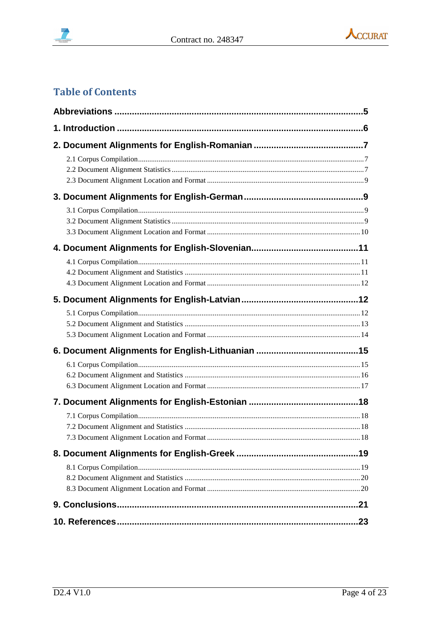



## **Table of Contents**

| .23 |
|-----|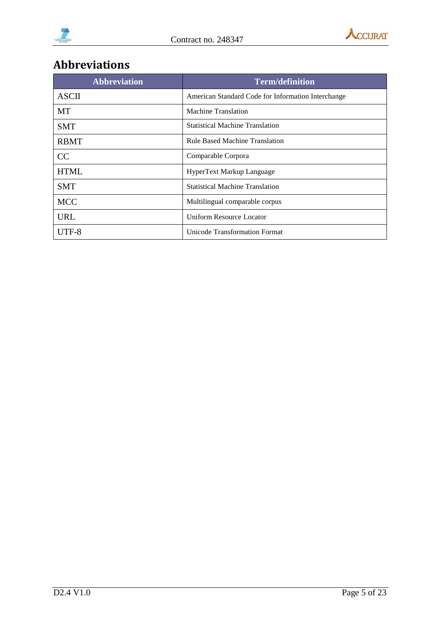



## <span id="page-4-0"></span>**Abbreviations**

| <b>Abbreviation</b> | <b>Term/definition</b>                             |
|---------------------|----------------------------------------------------|
| <b>ASCII</b>        | American Standard Code for Information Interchange |
| MT                  | <b>Machine Translation</b>                         |
| <b>SMT</b>          | <b>Statistical Machine Translation</b>             |
| <b>RBMT</b>         | <b>Rule Based Machine Translation</b>              |
| CC                  | Comparable Corpora                                 |
| <b>HTML</b>         | HyperText Markup Language                          |
| <b>SMT</b>          | <b>Statistical Machine Translation</b>             |
| <b>MCC</b>          | Multilingual comparable corpus                     |
| <b>URL</b>          | Uniform Resource Locator                           |
| UTF-8               | Unicode Transformation Format                      |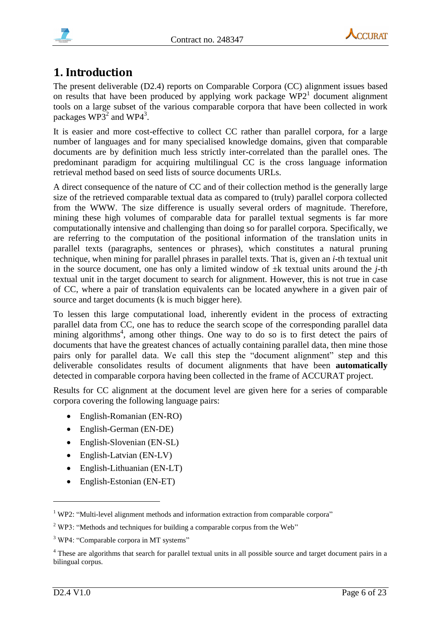



## <span id="page-5-0"></span>**1. Introduction**

The present deliverable (D2.4) reports on Comparable Corpora (CC) alignment issues based on results that have been produced by applying work package  $WP2<sup>1</sup>$  document alignment tools on a large subset of the various comparable corpora that have been collected in work packages  $WP3<sup>2</sup>$  and  $WP4<sup>3</sup>$ .

It is easier and more cost-effective to collect CC rather than parallel corpora, for a large number of languages and for many specialised knowledge domains, given that comparable documents are by definition much less strictly inter-correlated than the parallel ones. The predominant paradigm for acquiring multilingual CC is the cross language information retrieval method based on seed lists of source documents URLs.

A direct consequence of the nature of CC and of their collection method is the generally large size of the retrieved comparable textual data as compared to (truly) parallel corpora collected from the WWW. The size difference is usually several orders of magnitude. Therefore, mining these high volumes of comparable data for parallel textual segments is far more computationally intensive and challenging than doing so for parallel corpora. Specifically, we are referring to the computation of the positional information of the translation units in parallel texts (paragraphs, sentences or phrases), which constitutes a natural pruning technique, when mining for parallel phrases in parallel texts. That is, given an *i*-th textual unit in the source document, one has only a limited window of  $\pm k$  textual units around the *j*-th textual unit in the target document to search for alignment. However, this is not true in case of CC, where a pair of translation equivalents can be located anywhere in a given pair of source and target documents (k is much bigger here).

To lessen this large computational load, inherently evident in the process of extracting parallel data from CC, one has to reduce the search scope of the corresponding parallel data mining algorithms<sup>4</sup>, among other things. One way to do so is to first detect the pairs of documents that have the greatest chances of actually containing parallel data, then mine those pairs only for parallel data. We call this step the "document alignment" step and this deliverable consolidates results of document alignments that have been **automatically** detected in comparable corpora having been collected in the frame of ACCURAT project.

Results for CC alignment at the document level are given here for a series of comparable corpora covering the following language pairs:

- English-Romanian (EN-RO)
- English-German (EN-DE)
- English-Slovenian (EN-SL)
- English-Latvian (EN-LV)
- English-Lithuanian (EN-LT)
- English-Estonian (EN-ET)

<u>.</u>

<sup>&</sup>lt;sup>1</sup> WP2: "Multi-level alignment methods and information extraction from comparable corpora"

<sup>&</sup>lt;sup>2</sup> WP3: "Methods and techniques for building a comparable corpus from the Web"

<sup>&</sup>lt;sup>3</sup> WP4: "Comparable corpora in MT systems"

<sup>&</sup>lt;sup>4</sup> These are algorithms that search for parallel textual units in all possible source and target document pairs in a bilingual corpus.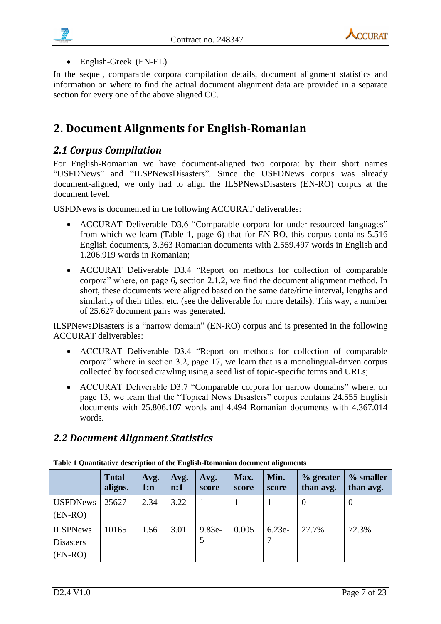



#### English-Greek (EN-EL)

In the sequel, comparable corpora compilation details, document alignment statistics and information on where to find the actual document alignment data are provided in a separate section for every one of the above aligned CC.

## <span id="page-6-0"></span>**2. Document Alignments for English-Romanian**

### <span id="page-6-1"></span>*2.1 Corpus Compilation*

For English-Romanian we have document-aligned two corpora: by their short names "USFDNews" and "ILSPNewsDisasters". Since the USFDNews corpus was already document-aligned, we only had to align the ILSPNewsDisasters (EN-RO) corpus at the document level.

USFDNews is documented in the following ACCURAT deliverables:

- ACCURAT Deliverable D3.6 "Comparable corpora for under-resourced languages" from which we learn (Table 1, page 6) that for EN-RO, this corpus contains 5.516 English documents, 3.363 Romanian documents with 2.559.497 words in English and 1.206.919 words in Romanian;
- ACCURAT Deliverable D3.4 "Report on methods for collection of comparable corpora" where, on page 6, section 2.1.2, we find the document alignment method. In short, these documents were aligned based on the same date/time interval, lengths and similarity of their titles, etc. (see the deliverable for more details). This way, a number of 25.627 document pairs was generated.

ILSPNewsDisasters is a "narrow domain" (EN-RO) corpus and is presented in the following ACCURAT deliverables:

- ACCURAT Deliverable D3.4 "Report on methods for collection of comparable corpora" where in section 3.2, page 17, we learn that is a monolingual-driven corpus collected by focused crawling using a seed list of topic-specific terms and URLs;
- ACCURAT Deliverable D3.7 "Comparable corpora for narrow domains" where, on page 13, we learn that the "Topical News Disasters" corpus contains 24.555 English documents with 25.806.107 words and 4.494 Romanian documents with 4.367.014 words.

## <span id="page-6-2"></span>*2.2 Document Alignment Statistics*

|                                                  | <b>Total</b><br>aligns. | Avg.<br>1:n | Avg.<br>$\mathbf{n:1}$ | Avg.<br>score | Max.<br>score | Min.<br>score | $%$ greater<br>than avg. | % smaller<br>than avg. |
|--------------------------------------------------|-------------------------|-------------|------------------------|---------------|---------------|---------------|--------------------------|------------------------|
| <b>USFDNews</b><br>$(EN-RO)$                     | 25627                   | 2.34        | 3.22                   |               |               |               | $\theta$                 | $\theta$               |
| <b>ILSPNews</b><br><b>Disasters</b><br>$(EN-RO)$ | 10165                   | 1.56        | 3.01                   | $9.83e-$      | 0.005         | $6.23e-$      | 27.7%                    | 72.3%                  |

<span id="page-6-3"></span>**Table 1 Quantitative description of the English-Romanian document alignments**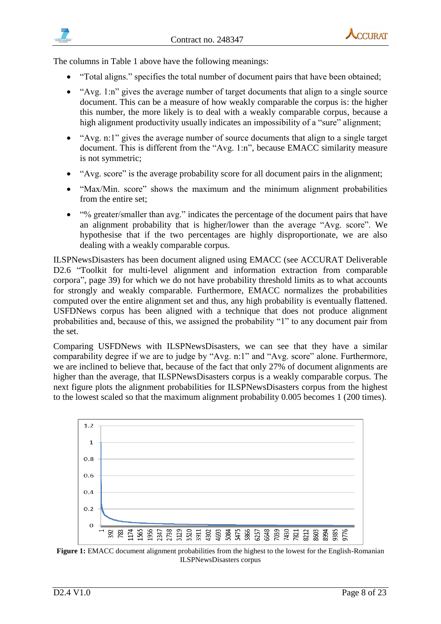

The columns in [Table 1](#page-6-3) above have the following meanings:

- "Total aligns." specifies the total number of document pairs that have been obtained;
- "Avg. 1:n" gives the average number of target documents that align to a single source document. This can be a measure of how weakly comparable the corpus is: the higher this number, the more likely is to deal with a weakly comparable corpus, because a high alignment productivity usually indicates an impossibility of a "sure" alignment;
- "Avg. n:1" gives the average number of source documents that align to a single target document. This is different from the "Avg. 1:n", because EMACC similarity measure is not symmetric;
- "Avg. score" is the average probability score for all document pairs in the alignment;
- "Max/Min. score" shows the maximum and the minimum alignment probabilities from the entire set;
- "% greater/smaller than avg." indicates the percentage of the document pairs that have an alignment probability that is higher/lower than the average "Avg. score". We hypothesise that if the two percentages are highly disproportionate, we are also dealing with a weakly comparable corpus.

ILSPNewsDisasters has been document aligned using EMACC (see ACCURAT Deliverable D2.6 "Toolkit for multi-level alignment and information extraction from comparable corpora", page 39) for which we do not have probability threshold limits as to what accounts for strongly and weakly comparable. Furthermore, EMACC normalizes the probabilities computed over the entire alignment set and thus, any high probability is eventually flattened. USFDNews corpus has been aligned with a technique that does not produce alignment probabilities and, because of this, we assigned the probability "1" to any document pair from the set.

Comparing USFDNews with ILSPNewsDisasters, we can see that they have a similar comparability degree if we are to judge by "Avg. n:1" and "Avg. score" alone. Furthermore, we are inclined to believe that, because of the fact that only 27% of document alignments are higher than the average, that ILSPNewsDisasters corpus is a weakly comparable corpus. The next figure plots the alignment probabilities for ILSPNewsDisasters corpus from the highest to the lowest scaled so that the maximum alignment probability 0.005 becomes 1 (200 times).



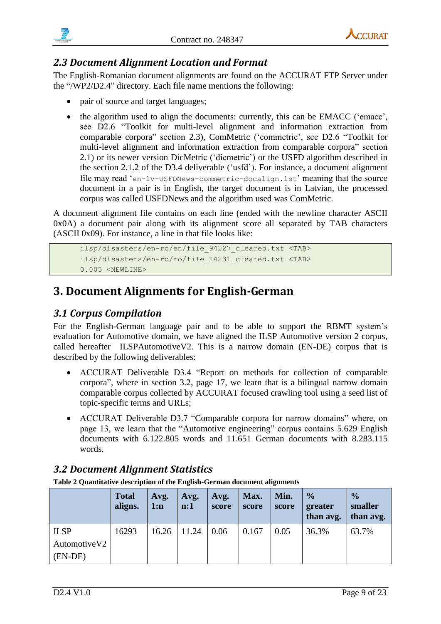



## <span id="page-8-0"></span>*2.3 Document Alignment Location and Format*

The English-Romanian document alignments are found on the ACCURAT FTP Server under the "/WP2/D2.4" directory. Each file name mentions the following:

- pair of source and target languages;
- the algorithm used to align the documents: currently, this can be EMACC ('emacc', see D2.6 "Toolkit for multi-level alignment and information extraction from comparable corpora" section 2.3), ComMetric ('commetric', see D2.6 "Toolkit for multi-level alignment and information extraction from comparable corpora" section 2.1) or its newer version DicMetric ('dicmetric') or the USFD algorithm described in the section 2.1.2 of the D3.4 deliverable ('usfd'). For instance, a document alignment file may read 'en-lv-USFDNews-commetric-docalign.lst' meaning that the source document in a pair is in English, the target document is in Latvian, the processed corpus was called USFDNews and the algorithm used was ComMetric.

A document alignment file contains on each line (ended with the newline character ASCII 0x0A) a document pair along with its alignment score all separated by TAB characters (ASCII 0x09). For instance, a line in that file looks like:

```
ilsp/disasters/en-ro/en/file_94227_cleared.txt <TAB>
ilsp/disasters/en-ro/ro/file_14231_cleared.txt <TAB>
0.005 <NEWLINE>
```
## <span id="page-8-1"></span>**3. Document Alignments for English-German**

## <span id="page-8-2"></span>*3.1 Corpus Compilation*

For the English-German language pair and to be able to support the RBMT system's evaluation for Automotive domain, we have aligned the ILSP Automotive version 2 corpus, called hereafter ILSPAutomotiveV2. This is a narrow domain (EN-DE) corpus that is described by the following deliverables:

- ACCURAT Deliverable D3.4 "Report on methods for collection of comparable corpora", where in section 3.2, page 17, we learn that is a bilingual narrow domain comparable corpus collected by ACCURAT focused crawling tool using a seed list of topic-specific terms and URLs;
- ACCURAT Deliverable D3.7 "Comparable corpora for narrow domains" where, on page 13, we learn that the "Automotive engineering" corpus contains 5.629 English documents with 6.122.805 words and 11.651 German documents with 8.283.115 words.

## <span id="page-8-3"></span>*3.2 Document Alignment Statistics*

**Table 2 Quantitative description of the English-German document alignments**

|               | <b>Total</b><br>aligns. | Avg.<br>1:n | Avg.<br>n:1 | Avg.<br>score | Max.<br>score | Min.<br>score | $\frac{0}{0}$<br>greater<br>than avg. | $\frac{0}{0}$<br>smaller<br>than avg. |
|---------------|-------------------------|-------------|-------------|---------------|---------------|---------------|---------------------------------------|---------------------------------------|
| <b>ILSP</b>   | 16293                   | 16.26       | 11.24       | 0.06          | 0.167         | 0.05          | 36.3%                                 | 63.7%                                 |
| Automotive V2 |                         |             |             |               |               |               |                                       |                                       |
| $(EN-DE)$     |                         |             |             |               |               |               |                                       |                                       |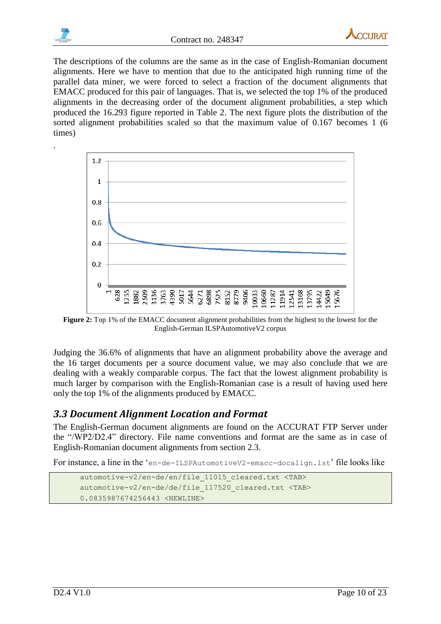

.



The descriptions of the columns are the same as in the case of English-Romanian document alignments. Here we have to mention that due to the anticipated high running time of the parallel data miner, we were forced to select a fraction of the document alignments that EMACC produced for this pair of languages. That is, we selected the top 1% of the produced alignments in the decreasing order of the document alignment probabilities, a step which produced the 16.293 figure reported in Table 2. The next figure plots the distribution of the sorted alignment probabilities scaled so that the maximum value of 0.167 becomes 1 (6 times)



**Figure 2:** Top 1% of the EMACC document alignment probabilities from the highest to the lowest for the English-German ILSPAutomotiveV2 corpus

Judging the 36.6% of alignments that have an alignment probability above the average and the 16 target documents per a source document value, we may also conclude that we are dealing with a weakly comparable corpus. The fact that the lowest alignment probability is much larger by comparison with the English-Romanian case is a result of having used here only the top 1% of the alignments produced by EMACC.

#### <span id="page-9-0"></span>*3.3 Document Alignment Location and Format*

The English-German document alignments are found on the ACCURAT FTP Server under the "/WP2/D2.4" directory. File name conventions and format are the same as in case of English-Romanian document alignments from section 2.3.

For instance, a line in the 'en-de-ILSPAutomotiveV2-emacc-docalign.lst' file looks like

```
automotive-v2/en-de/en/file_11015_cleared.txt <TAB>
automotive-v2/en-de/de/file_117520_cleared.txt <TAB>
0.0835987674256443 <NEWLINE>
```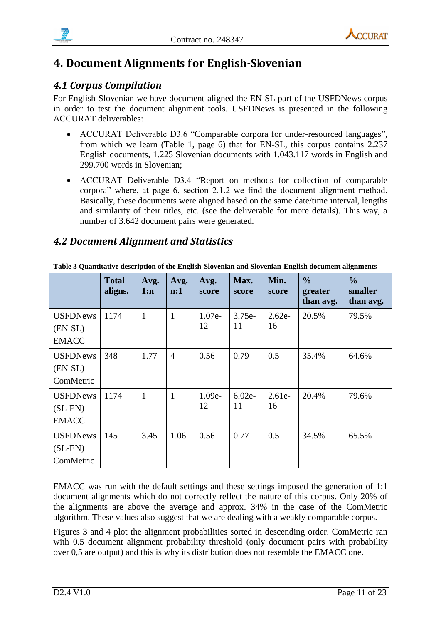



## <span id="page-10-0"></span>**4. Document Alignments for English-Slovenian**

## <span id="page-10-1"></span>*4.1 Corpus Compilation*

For English-Slovenian we have document-aligned the EN-SL part of the USFDNews corpus in order to test the document alignment tools. USFDNews is presented in the following ACCURAT deliverables:

- ACCURAT Deliverable D3.6 "Comparable corpora for under-resourced languages", from which we learn (Table 1, page 6) that for EN-SL, this corpus contains 2.237 English documents, 1.225 Slovenian documents with 1.043.117 words in English and 299.700 words in Slovenian;
- ACCURAT Deliverable D3.4 "Report on methods for collection of comparable corpora" where, at page 6, section 2.1.2 we find the document alignment method. Basically, these documents were aligned based on the same date/time interval, lengths and similarity of their titles, etc. (see the deliverable for more details). This way, a number of 3.642 document pairs were generated.

#### <span id="page-10-2"></span>*4.2 Document Alignment and Statistics*

|                                              | <b>Total</b><br>aligns. | Avg.<br>1:n  | Avg.<br>$\mathbf{n:1}$ | Avg.<br>score  | Max.<br>score  | Min.<br>score  | $\frac{0}{0}$<br>greater<br>than avg. | $\frac{0}{0}$<br>smaller<br>than avg. |
|----------------------------------------------|-------------------------|--------------|------------------------|----------------|----------------|----------------|---------------------------------------|---------------------------------------|
| <b>USFDNews</b><br>$(EN-SL)$<br><b>EMACC</b> | 1174                    | $\mathbf{1}$ | 1                      | $1.07e-$<br>12 | $3.75e-$<br>11 | $2.62e-$<br>16 | 20.5%                                 | 79.5%                                 |
| <b>USFDNews</b><br>$(EN-SL)$<br>ComMetric    | 348                     | 1.77         | $\overline{4}$         | 0.56           | 0.79           | 0.5            | 35.4%                                 | 64.6%                                 |
| <b>USFDNews</b><br>$(SL-EN)$<br><b>EMACC</b> | 1174                    | $\mathbf{1}$ |                        | $1.09e-$<br>12 | $6.02e-$<br>11 | $2.61e-$<br>16 | 20.4%                                 | 79.6%                                 |
| <b>USFDNews</b><br>$(SL-EN)$<br>ComMetric    | 145                     | 3.45         | 1.06                   | 0.56           | 0.77           | 0.5            | 34.5%                                 | 65.5%                                 |

**Table 3 Quantitative description of the English-Slovenian and Slovenian-English document alignments**

EMACC was run with the default settings and these settings imposed the generation of 1:1 document alignments which do not correctly reflect the nature of this corpus. Only 20% of the alignments are above the average and approx. 34% in the case of the ComMetric algorithm. These values also suggest that we are dealing with a weakly comparable corpus.

Figures 3 and 4 plot the alignment probabilities sorted in descending order. ComMetric ran with 0.5 document alignment probability threshold (only document pairs with probability over 0,5 are output) and this is why its distribution does not resemble the EMACC one.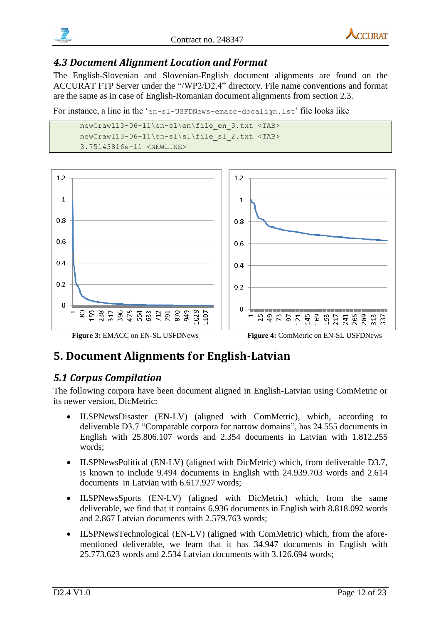



#### <span id="page-11-0"></span>*4.3 Document Alignment Location and Format*

The English-Slovenian and Slovenian-English document alignments are found on the ACCURAT FTP Server under the "/WP2/D2.4" directory. File name conventions and format are the same as in case of English-Romanian document alignments from section 2.3.

For instance, a line in the 'en-sl-USFDNews-emacc-docalign.lst' file looks like

```
newCrawl13-06-11\en-sl\en\file_en_3.txt <TAB>
newCrawl13-06-11\en-sl\sl\file_sl_2.txt <TAB>
3.75143816e-11 <NEWLINE>
```


## <span id="page-11-1"></span>**5. Document Alignments for English-Latvian**

#### <span id="page-11-2"></span>*5.1 Corpus Compilation*

The following corpora have been document aligned in English-Latvian using ComMetric or its newer version, DicMetric:

- ILSPNewsDisaster (EN-LV) (aligned with ComMetric), which, according to deliverable D3.7 "Comparable corpora for narrow domains", has 24.555 documents in English with 25.806.107 words and 2.354 documents in Latvian with 1.812.255 words;
- ILSPNewsPolitical (EN-LV) (aligned with DicMetric) which, from deliverable D3.7, is known to include 9.494 documents in English with 24.939.703 words and 2.614 documents in Latvian with 6.617.927 words;
- ILSPNewsSports (EN-LV) (aligned with DicMetric) which, from the same deliverable, we find that it contains 6.936 documents in English with 8.818.092 words and 2.867 Latvian documents with 2.579.763 words;
- ILSPNewsTechnological (EN-LV) (aligned with ComMetric) which, from the aforementioned deliverable, we learn that it has 34.947 documents in English with 25.773.623 words and 2.534 Latvian documents with 3.126.694 words;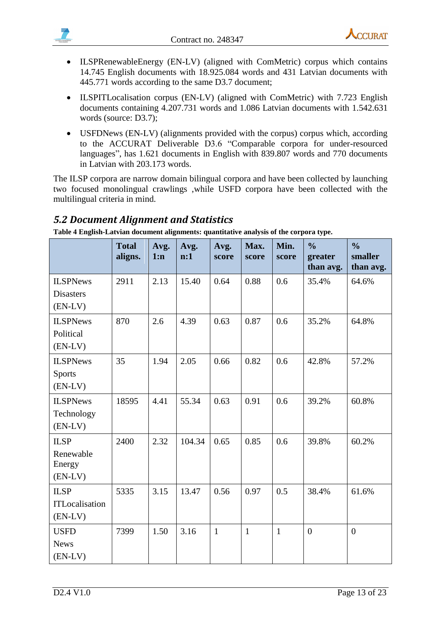

- ILSPRenewableEnergy (EN-LV) (aligned with ComMetric) corpus which contains 14.745 English documents with 18.925.084 words and 431 Latvian documents with 445.771 words according to the same D3.7 document;
- ILSPITLocalisation corpus (EN-LV) (aligned with ComMetric) with 7.723 English documents containing 4.207.731 words and 1.086 Latvian documents with 1.542.631 words (source: D3.7);
- USFDNews (EN-LV) (alignments provided with the corpus) corpus which, according to the ACCURAT Deliverable D3.6 "Comparable corpora for under-resourced languages", has 1.621 documents in English with 839.807 words and 770 documents in Latvian with 203.173 words.

The ILSP corpora are narrow domain bilingual corpora and have been collected by launching two focused monolingual crawlings ,while USFD corpora have been collected with the multilingual criteria in mind.

## <span id="page-12-0"></span>*5.2 Document Alignment and Statistics*

**Table 4 English-Latvian document alignments: quantitative analysis of the corpora type.**

|                                                  | <b>Total</b><br>aligns. | Avg.<br>1:n | Avg.<br>n:1 | Avg.<br>score | Max.<br>score | Min.<br>score | $\frac{0}{0}$<br>greater<br>than avg. | $\frac{0}{0}$<br>smaller<br>than avg. |
|--------------------------------------------------|-------------------------|-------------|-------------|---------------|---------------|---------------|---------------------------------------|---------------------------------------|
| <b>ILSPNews</b><br><b>Disasters</b><br>$(EN-LV)$ | 2911                    | 2.13        | 15.40       | 0.64          | 0.88          | 0.6           | 35.4%                                 | 64.6%                                 |
| <b>ILSPNews</b><br>Political<br>$(EN-LV)$        | 870                     | 2.6         | 4.39        | 0.63          | 0.87          | 0.6           | 35.2%                                 | 64.8%                                 |
| <b>ILSPNews</b><br><b>Sports</b><br>$(EN-LV)$    | 35                      | 1.94        | 2.05        | 0.66          | 0.82          | 0.6           | 42.8%                                 | 57.2%                                 |
| <b>ILSPNews</b><br>Technology<br>$(EN-LV)$       | 18595                   | 4.41        | 55.34       | 0.63          | 0.91          | 0.6           | 39.2%                                 | 60.8%                                 |
| <b>ILSP</b><br>Renewable<br>Energy<br>$(EN-LV)$  | 2400                    | 2.32        | 104.34      | 0.65          | 0.85          | 0.6           | 39.8%                                 | 60.2%                                 |
| <b>ILSP</b><br>ITLocalisation<br>$(EN-LV)$       | 5335                    | 3.15        | 13.47       | 0.56          | 0.97          | 0.5           | 38.4%                                 | 61.6%                                 |
| <b>USFD</b><br><b>News</b><br>$(EN-LV)$          | 7399                    | 1.50        | 3.16        | $\mathbf{1}$  | $\mathbf{1}$  | $\mathbf{1}$  | $\overline{0}$                        | $\overline{0}$                        |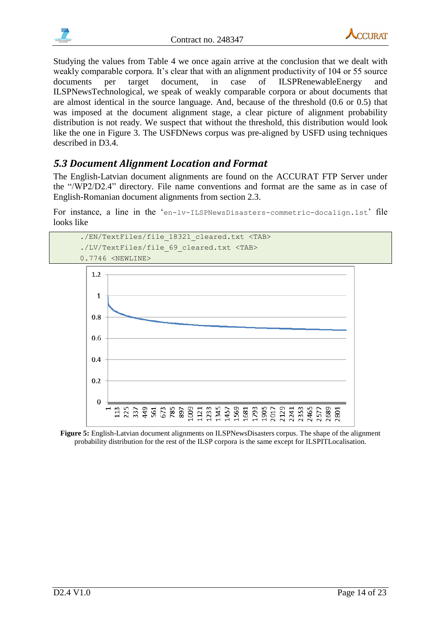



Studying the values from Table 4 we once again arrive at the conclusion that we dealt with weakly comparable corpora. It's clear that with an alignment productivity of 104 or 55 source documents per target document, in case of ILSPRenewableEnergy and ILSPNewsTechnological, we speak of weakly comparable corpora or about documents that are almost identical in the source language. And, because of the threshold (0.6 or 0.5) that was imposed at the document alignment stage, a clear picture of alignment probability distribution is not ready. We suspect that without the threshold, this distribution would look like the one in Figure 3. The USFDNews corpus was pre-aligned by USFD using techniques described in D3.4.

## <span id="page-13-0"></span>*5.3 Document Alignment Location and Format*

The English-Latvian document alignments are found on the ACCURAT FTP Server under the "/WP2/D2.4" directory. File name conventions and format are the same as in case of English-Romanian document alignments from section 2.3.

For instance, a line in the 'en-lv-ILSPNewsDisasters-commetric-docalign.lst' file looks like





**Figure 5:** English-Latvian document alignments on ILSPNewsDisasters corpus. The shape of the alignment probability distribution for the rest of the ILSP corpora is the same except for ILSPITLocalisation.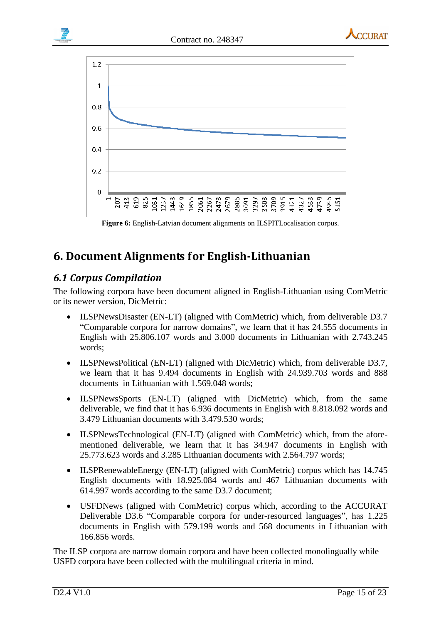



**Figure 6:** English-Latvian document alignments on ILSPITLocalisation corpus.

## <span id="page-14-0"></span>**6. Document Alignments for English-Lithuanian**

## <span id="page-14-1"></span>*6.1 Corpus Compilation*

The following corpora have been document aligned in English-Lithuanian using ComMetric or its newer version, DicMetric:

- ILSPNewsDisaster (EN-LT) (aligned with ComMetric) which, from deliverable D3.7 "Comparable corpora for narrow domains", we learn that it has 24.555 documents in English with 25.806.107 words and 3.000 documents in Lithuanian with 2.743.245 words;
- ILSPNewsPolitical (EN-LT) (aligned with DicMetric) which, from deliverable D3.7, we learn that it has 9.494 documents in English with 24.939.703 words and 888 documents in Lithuanian with 1.569.048 words;
- ILSPNewsSports (EN-LT) (aligned with DicMetric) which, from the same deliverable, we find that it has 6.936 documents in English with 8.818.092 words and 3.479 Lithuanian documents with 3.479.530 words;
- ILSPNewsTechnological (EN-LT) (aligned with ComMetric) which, from the aforementioned deliverable, we learn that it has 34.947 documents in English with 25.773.623 words and 3.285 Lithuanian documents with 2.564.797 words;
- ILSPRenewableEnergy (EN-LT) (aligned with ComMetric) corpus which has 14.745 English documents with 18.925.084 words and 467 Lithuanian documents with 614.997 words according to the same D3.7 document;
- USFDNews (aligned with ComMetric) corpus which, according to the ACCURAT Deliverable D3.6 "Comparable corpora for under-resourced languages", has 1.225 documents in English with 579.199 words and 568 documents in Lithuanian with 166.856 words.

The ILSP corpora are narrow domain corpora and have been collected monolingually while USFD corpora have been collected with the multilingual criteria in mind.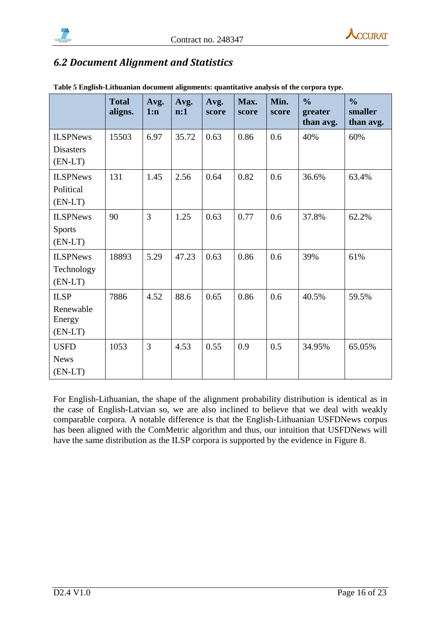



## <span id="page-15-0"></span>*6.2 Document Alignment and Statistics*

|                                                  | <b>Total</b><br>aligns. | Avg.<br>1:n | Avg.<br>n:1 | Avg.<br>score | Max.<br>score | Min.<br>score | $\frac{0}{0}$<br>greater<br>than avg. | $\frac{0}{0}$<br>smaller<br>than avg. |
|--------------------------------------------------|-------------------------|-------------|-------------|---------------|---------------|---------------|---------------------------------------|---------------------------------------|
| <b>ILSPNews</b><br><b>Disasters</b><br>$(EN-LT)$ | 15503                   | 6.97        | 35.72       | 0.63          | 0.86          | 0.6           | 40%                                   | 60%                                   |
| <b>ILSPNews</b><br>Political<br>$(EN-LT)$        | 131                     | 1.45        | 2.56        | 0.64          | 0.82          | 0.6           | 36.6%                                 | 63.4%                                 |
| <b>ILSPNews</b><br><b>Sports</b><br>$(EN-LT)$    | 90                      | 3           | 1.25        | 0.63          | 0.77          | 0.6           | 37.8%                                 | 62.2%                                 |
| <b>ILSPNews</b><br>Technology<br>$(EN-LT)$       | 18893                   | 5.29        | 47.23       | 0.63          | 0.86          | 0.6           | 39%                                   | 61%                                   |
| <b>ILSP</b><br>Renewable<br>Energy<br>$(EN-LT)$  | 7886                    | 4.52        | 88.6        | 0.65          | 0.86          | 0.6           | 40.5%                                 | 59.5%                                 |
| <b>USFD</b><br><b>News</b><br>$(EN-LT)$          | 1053                    | 3           | 4.53        | 0.55          | 0.9           | 0.5           | 34.95%                                | 65.05%                                |

**Table 5 English-Lithuanian document alignments: quantitative analysis of the corpora type.**

For English-Lithuanian, the shape of the alignment probability distribution is identical as in the case of English-Latvian so, we are also inclined to believe that we deal with weakly comparable corpora. A notable difference is that the English-Lithuanian USFDNews corpus has been aligned with the ComMetric algorithm and thus, our intuition that USFDNews will have the same distribution as the ILSP corpora is supported by the evidence in Figure 8.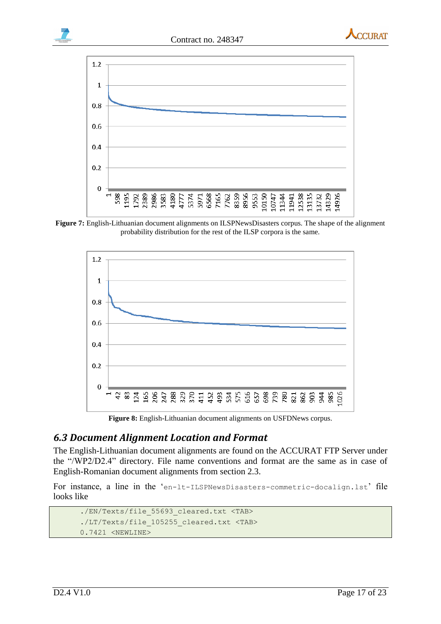





**Figure 7:** English-Lithuanian document alignments on ILSPNewsDisasters corpus. The shape of the alignment probability distribution for the rest of the ILSP corpora is the same.



**Figure 8:** English-Lithuanian document alignments on USFDNews corpus.

## <span id="page-16-0"></span>*6.3 Document Alignment Location and Format*

The English-Lithuanian document alignments are found on the ACCURAT FTP Server under the "/WP2/D2.4" directory. File name conventions and format are the same as in case of English-Romanian document alignments from section 2.3.

For instance, a line in the 'en-lt-ILSPNewsDisasters-commetric-docalign.lst' file looks like

```
./EN/Texts/file_55693_cleared.txt <TAB>
./LT/Texts/file_105255_cleared.txt <TAB>
0.7421 <NEWLINE>
```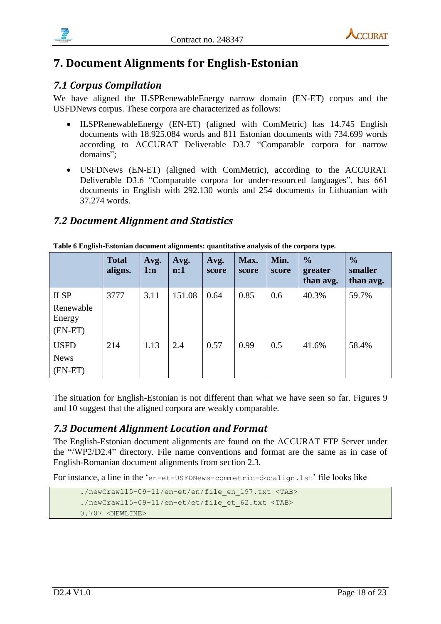

## <span id="page-17-0"></span>**7. Document Alignments for English-Estonian**

## <span id="page-17-1"></span>*7.1 Corpus Compilation*

We have aligned the ILSPRenewableEnergy narrow domain (EN-ET) corpus and the USFDNews corpus. These corpora are characterized as follows:

- ILSPRenewableEnergy (EN-ET) (aligned with ComMetric) has 14.745 English documents with 18.925.084 words and 811 Estonian documents with 734.699 words according to ACCURAT Deliverable D3.7 "Comparable corpora for narrow domains";
- USFDNews (EN-ET) (aligned with ComMetric), according to the ACCURAT Deliverable D3.6 "Comparable corpora for under-resourced languages", has 661 documents in English with 292.130 words and 254 documents in Lithuanian with 37.274 words.

## <span id="page-17-2"></span>*7.2 Document Alignment and Statistics*

|                                                      | <b>Total</b><br>aligns. | Avg.<br>1:n | Avg.<br>$\mathbf{n:1}$ | Avg.<br>score | Max.<br>score | Min.<br>score | $\frac{1}{2}$<br>greater<br>than avg. | $\frac{1}{2}$<br>smaller<br>than avg. |
|------------------------------------------------------|-------------------------|-------------|------------------------|---------------|---------------|---------------|---------------------------------------|---------------------------------------|
| <b>ILSP</b><br>Renewable<br>Energy                   | 3777                    | 3.11        | 151.08                 | 0.64          | 0.85          | 0.6           | 40.3%                                 | 59.7%                                 |
| $(EN-ET)$<br><b>USFD</b><br><b>News</b><br>$(EN-ET)$ | 214                     | 1.13        | 2.4                    | 0.57          | 0.99          | 0.5           | 41.6%                                 | 58.4%                                 |

**Table 6 English-Estonian document alignments: quantitative analysis of the corpora type.**

The situation for English-Estonian is not different than what we have seen so far. Figures 9 and 10 suggest that the aligned corpora are weakly comparable.

#### <span id="page-17-3"></span>*7.3 Document Alignment Location and Format*

The English-Estonian document alignments are found on the ACCURAT FTP Server under the "/WP2/D2.4" directory. File name conventions and format are the same as in case of English-Romanian document alignments from section 2.3.

For instance, a line in the 'en-et-USFDNews-commetric-docalign.lst' file looks like

```
./newCrawl15-09-11/en-et/en/file_en_197.txt <TAB>
./newCrawl15-09-11/en-et/et/file et 62.txt <TAB>
0.707 <NEWLINE>
```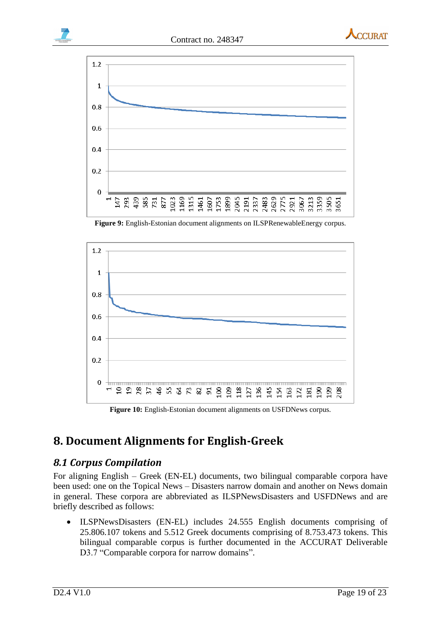

**Figure 9:** English-Estonian document alignments on ILSPRenewableEnergy corpus.



**Figure 10:** English-Estonian document alignments on USFDNews corpus.

## <span id="page-18-0"></span>**8. Document Alignments for English-Greek**

#### <span id="page-18-1"></span>*8.1 Corpus Compilation*

For aligning English – Greek (EN-EL) documents, two bilingual comparable corpora have been used: one on the Topical News – Disasters narrow domain and another on News domain in general. These corpora are abbreviated as ILSPNewsDisasters and USFDNews and are briefly described as follows:

 ILSPNewsDisasters (EN-EL) includes 24.555 English documents comprising of 25.806.107 tokens and 5.512 Greek documents comprising of 8.753.473 tokens. This bilingual comparable corpus is further documented in the ACCURAT Deliverable D3.7 "Comparable corpora for narrow domains".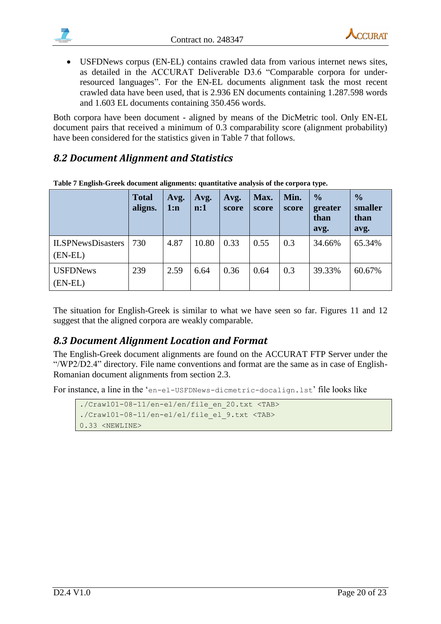



 USFDNews corpus (EN-EL) contains crawled data from various internet news sites, as detailed in the ACCURAT Deliverable D3.6 "Comparable corpora for underresourced languages". For the EN-EL documents alignment task the most recent crawled data have been used, that is 2.936 EN documents containing 1.287.598 words and 1.603 EL documents containing 350.456 words.

Both corpora have been document - aligned by means of the DicMetric tool. Only EN-EL document pairs that received a minimum of 0.3 comparability score (alignment probability) have been considered for the statistics given in Table 7 that follows.

## <span id="page-19-0"></span>*8.2 Document Alignment and Statistics*

|                                       | <b>Total</b><br>aligns. | Avg.<br>1:n | Avg.<br>$\mathbf{n:1}$ | Avg.<br>score | Max.<br>score | Min.<br>score | $\frac{6}{6}$<br>greater<br>than<br>avg. | $\frac{0}{0}$<br>smaller<br>than<br>avg. |
|---------------------------------------|-------------------------|-------------|------------------------|---------------|---------------|---------------|------------------------------------------|------------------------------------------|
| <b>ILSPNewsDisasters</b><br>$(EN-EL)$ | 730                     | 4.87        | 10.80                  | 0.33          | 0.55          | 0.3           | 34.66%                                   | 65.34%                                   |
| <b>USFDNews</b><br>$(EN-EL)$          | 239                     | 2.59        | 6.64                   | 0.36          | 0.64          | 0.3           | 39.33%                                   | 60.67%                                   |

**Table 7 English-Greek document alignments: quantitative analysis of the corpora type.**

The situation for English-Greek is similar to what we have seen so far. Figures 11 and 12 suggest that the aligned corpora are weakly comparable.

## <span id="page-19-1"></span>*8.3 Document Alignment Location and Format*

The English-Greek document alignments are found on the ACCURAT FTP Server under the "/WP2/D2.4" directory. File name conventions and format are the same as in case of English-Romanian document alignments from section 2.3.

For instance, a line in the 'en-el-USFDNews-dicmetric-docalign.lst' file looks like

```
./Craw101-08-11/en-el/en/file en 20.txt <TAB>
./Craw101-08-11/en-el/el/file el 9.txt <TAB>
0.33 <NEWLINE>
```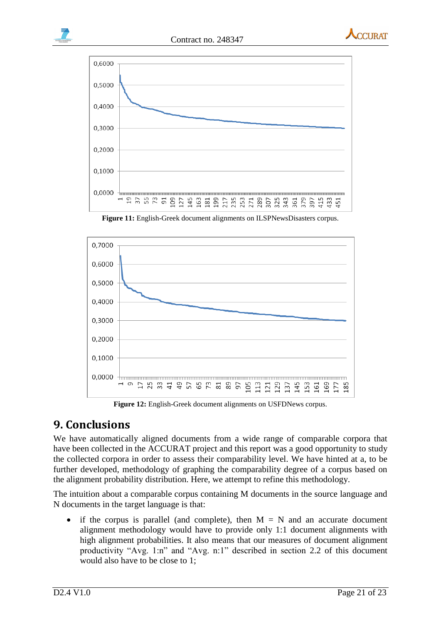

**CCI IRAT** 



**Figure 11:** English-Greek document alignments on ILSPNewsDisasters corpus.



**Figure 12:** English-Greek document alignments on USFDNews corpus.

## <span id="page-20-0"></span>**9. Conclusions**

We have automatically aligned documents from a wide range of comparable corpora that have been collected in the ACCURAT project and this report was a good opportunity to study the collected corpora in order to assess their comparability level. We have hinted at a, to be further developed, methodology of graphing the comparability degree of a corpus based on the alignment probability distribution. Here, we attempt to refine this methodology.

The intuition about a comparable corpus containing M documents in the source language and N documents in the target language is that:

• if the corpus is parallel (and complete), then  $M = N$  and an accurate document alignment methodology would have to provide only 1:1 document alignments with high alignment probabilities. It also means that our measures of document alignment productivity "Avg. 1:n" and "Avg. n:1" described in section 2.2 of this document would also have to be close to 1;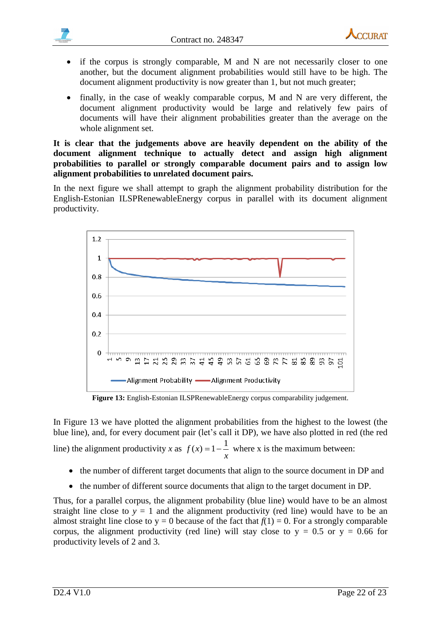

- if the corpus is strongly comparable, M and N are not necessarily closer to one another, but the document alignment probabilities would still have to be high. The document alignment productivity is now greater than 1, but not much greater;
- finally, in the case of weakly comparable corpus, M and N are very different, the document alignment productivity would be large and relatively few pairs of documents will have their alignment probabilities greater than the average on the whole alignment set.

**It is clear that the judgements above are heavily dependent on the ability of the document alignment technique to actually detect and assign high alignment probabilities to parallel or strongly comparable document pairs and to assign low alignment probabilities to unrelated document pairs.**

In the next figure we shall attempt to graph the alignment probability distribution for the English-Estonian ILSPRenewableEnergy corpus in parallel with its document alignment productivity.



**Figure 13:** English-Estonian ILSPRenewableEnergy corpus comparability judgement.

In Figure 13 we have plotted the alignment probabilities from the highest to the lowest (the blue line), and, for every document pair (let's call it DP), we have also plotted in red (the red

line) the alignment productivity *x* as *x*  $f(x) = 1 - \frac{1}{x}$  where x is the maximum between:

- the number of different target documents that align to the source document in DP and
- the number of different source documents that align to the target document in DP.

Thus, for a parallel corpus, the alignment probability (blue line) would have to be an almost straight line close to  $y = 1$  and the alignment productivity (red line) would have to be an almost straight line close to  $y = 0$  because of the fact that  $f(1) = 0$ . For a strongly comparable corpus, the alignment productivity (red line) will stay close to  $y = 0.5$  or  $y = 0.66$  for productivity levels of 2 and 3.